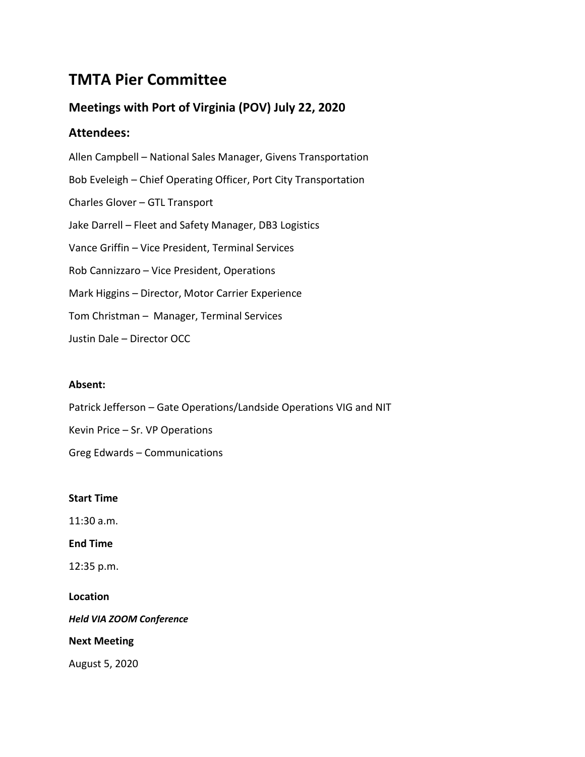# **TMTA Pier Committee**

# **Meetings with Port of Virginia (POV) July 22, 2020**

# **Attendees:**

Allen Campbell – National Sales Manager, Givens Transportation Bob Eveleigh – Chief Operating Officer, Port City Transportation Charles Glover – GTL Transport Jake Darrell – Fleet and Safety Manager, DB3 Logistics Vance Griffin – Vice President, Terminal Services Rob Cannizzaro – Vice President, Operations Mark Higgins – Director, Motor Carrier Experience Tom Christman – Manager, Terminal Services Justin Dale – Director OCC

# **Absent:**

Patrick Jefferson – Gate Operations/Landside Operations VIG and NIT

Kevin Price – Sr. VP Operations

Greg Edwards – Communications

### **Start Time**

11:30 a.m.

### **End Time**

12:35 p.m.

# **Location**

*Held VIA ZOOM Conference*

### **Next Meeting**

August 5, 2020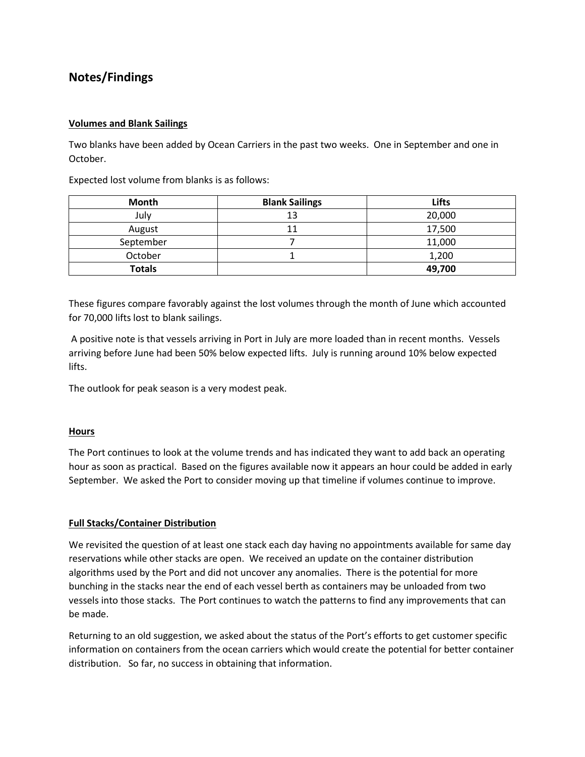# **Notes/Findings**

### **Volumes and Blank Sailings**

Two blanks have been added by Ocean Carriers in the past two weeks. One in September and one in October.

Expected lost volume from blanks is as follows:

| <b>Month</b>  | <b>Blank Sailings</b> | <b>Lifts</b> |
|---------------|-----------------------|--------------|
| July          | 13                    | 20,000       |
| August        | 11                    | 17,500       |
| September     |                       | 11,000       |
| October       |                       | 1,200        |
| <b>Totals</b> |                       | 49,700       |

These figures compare favorably against the lost volumes through the month of June which accounted for 70,000 lifts lost to blank sailings.

A positive note is that vessels arriving in Port in July are more loaded than in recent months. Vessels arriving before June had been 50% below expected lifts. July is running around 10% below expected lifts.

The outlook for peak season is a very modest peak.

### **Hours**

The Port continues to look at the volume trends and has indicated they want to add back an operating hour as soon as practical. Based on the figures available now it appears an hour could be added in early September. We asked the Port to consider moving up that timeline if volumes continue to improve.

### **Full Stacks/Container Distribution**

We revisited the question of at least one stack each day having no appointments available for same day reservations while other stacks are open. We received an update on the container distribution algorithms used by the Port and did not uncover any anomalies. There is the potential for more bunching in the stacks near the end of each vessel berth as containers may be unloaded from two vessels into those stacks. The Port continues to watch the patterns to find any improvements that can be made.

Returning to an old suggestion, we asked about the status of the Port's efforts to get customer specific information on containers from the ocean carriers which would create the potential for better container distribution. So far, no success in obtaining that information.